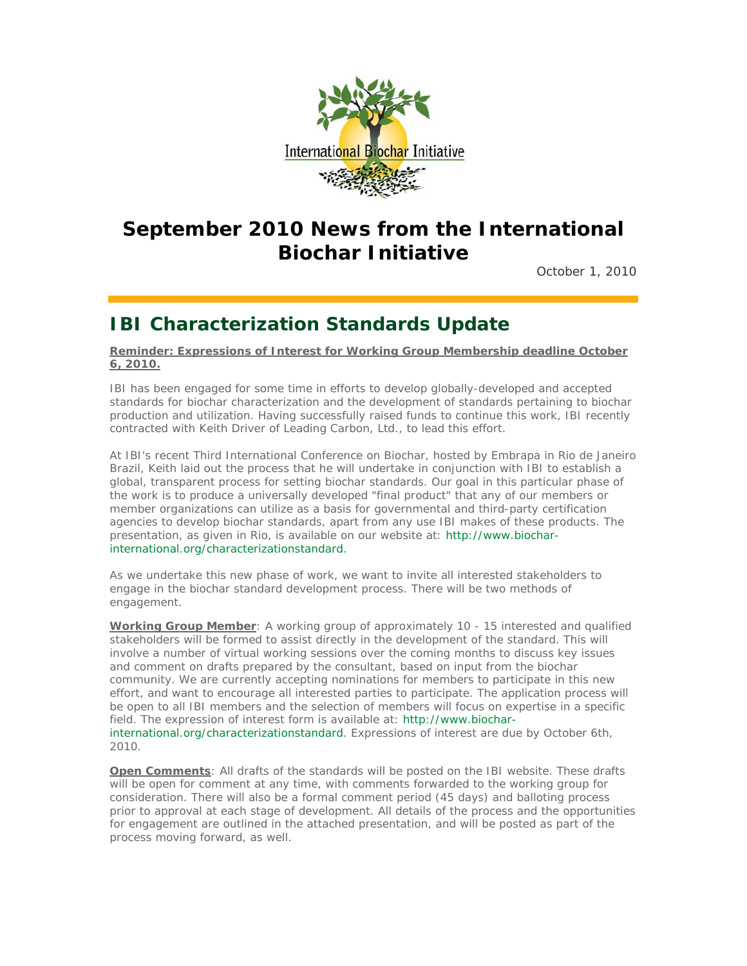

## **September 2010 News from the International Biochar Initiative**

October 1, 2010

### **IBI Characterization Standards Update**

**Reminder: Expressions of Interest for Working Group Membership deadline October 6, 2010.**

IBI has been engaged for some time in efforts to develop globally-developed and accepted standards for biochar characterization and the development of standards pertaining to biochar production and utilization. Having successfully raised funds to continue this work, IBI recently contracted with Keith Driver of Leading Carbon, Ltd., to lead this effort.

At IBI's recent Third International Conference on Biochar, hosted by Embrapa in Rio de Janeiro Brazil, Keith laid out the process that he will undertake in conjunction with IBI to establish a global, transparent process for setting biochar standards. Our goal in this particular phase of the work is to produce a universally developed "final product" that any of our members or member organizations can utilize as a basis for governmental and third-party certification agencies to develop biochar standards, apart from any use IBI makes of these products. The presentation, as given in Rio, is available on our website at: http://www.biocharinternational.org/characterizationstandard.

As we undertake this new phase of work, we want to invite all interested stakeholders to engage in the biochar standard development process. There will be two methods of engagement.

**Working Group Member**: A working group of approximately 10 - 15 interested and qualified stakeholders will be formed to assist directly in the development of the standard. This will involve a number of virtual working sessions over the coming months to discuss key issues and comment on drafts prepared by the consultant, based on input from the biochar community. We are currently accepting nominations for members to participate in this new effort, and want to encourage all interested parties to participate. The application process will be open to all IBI members and the selection of members will focus on expertise in a specific field. The expression of interest form is available at: http://www.biocharinternational.org/characterizationstandard. Expressions of interest are due by October 6th, 2010.

**Open Comments**: All drafts of the standards will be posted on the IBI website. These drafts will be open for comment at any time, with comments forwarded to the working group for consideration. There will also be a formal comment period (45 days) and balloting process prior to approval at each stage of development. All details of the process and the opportunities for engagement are outlined in the attached presentation, and will be posted as part of the process moving forward, as well.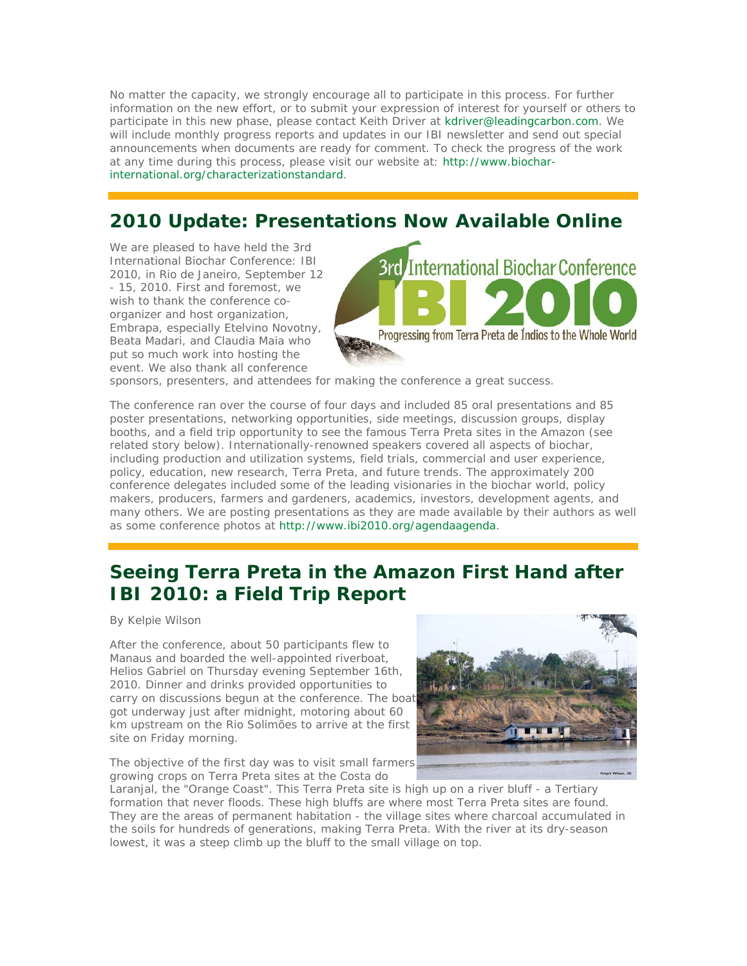No matter the capacity, we strongly encourage all to participate in this process. For further information on the new effort, or to submit your expression of interest for yourself or others to participate in this new phase, please contact Keith Driver at kdriver@leadingcarbon.com. We will include monthly progress reports and updates in our IBI newsletter and send out special announcements when documents are ready for comment. To check the progress of the work at any time during this process, please visit our website at: http://www.biocharinternational.org/characterizationstandard.

## **2010 Update: Presentations Now Available Online**

We are pleased to have held the 3rd International Biochar Conference: IBI 2010, in Rio de Janeiro, September 12 - 15, 2010. First and foremost, we wish to thank the conference coorganizer and host organization, Embrapa, especially Etelvino Novotny, Beata Madari, and Claudia Maia who put so much work into hosting the event. We also thank all conference



sponsors, presenters, and attendees for making the conference a great success.

The conference ran over the course of four days and included 85 oral presentations and 85 poster presentations, networking opportunities, side meetings, discussion groups, display booths, and a field trip opportunity to see the famous Terra Preta sites in the Amazon (see related story below). Internationally-renowned speakers covered all aspects of biochar, including production and utilization systems, field trials, commercial and user experience, policy, education, new research, Terra Preta, and future trends. The approximately 200 conference delegates included some of the leading visionaries in the biochar world, policy makers, producers, farmers and gardeners, academics, investors, development agents, and many others. We are posting presentations as they are made available by their authors as well as some conference photos at http://www.ibi2010.org/agendaagenda.

### **Seeing Terra Preta in the Amazon First Hand after IBI 2010: a Field Trip Report**

By Kelpie Wilson

After the conference, about 50 participants flew to Manaus and boarded the well-appointed riverboat, Helios Gabriel on Thursday evening September 16th, 2010. Dinner and drinks provided opportunities to carry on discussions begun at the conference. The boat got underway just after midnight, motoring about 60 km upstream on the Rio Solimões to arrive at the first site on Friday morning.

The objective of the first day was to visit small farmers growing crops on Terra Preta sites at the Costa do



Laranjal, the "Orange Coast". This Terra Preta site is high up on a river bluff - a Tertiary formation that never floods. These high bluffs are where most Terra Preta sites are found. They are the areas of permanent habitation - the village sites where charcoal accumulated in the soils for hundreds of generations, making Terra Preta. With the river at its dry-season lowest, it was a steep climb up the bluff to the small village on top.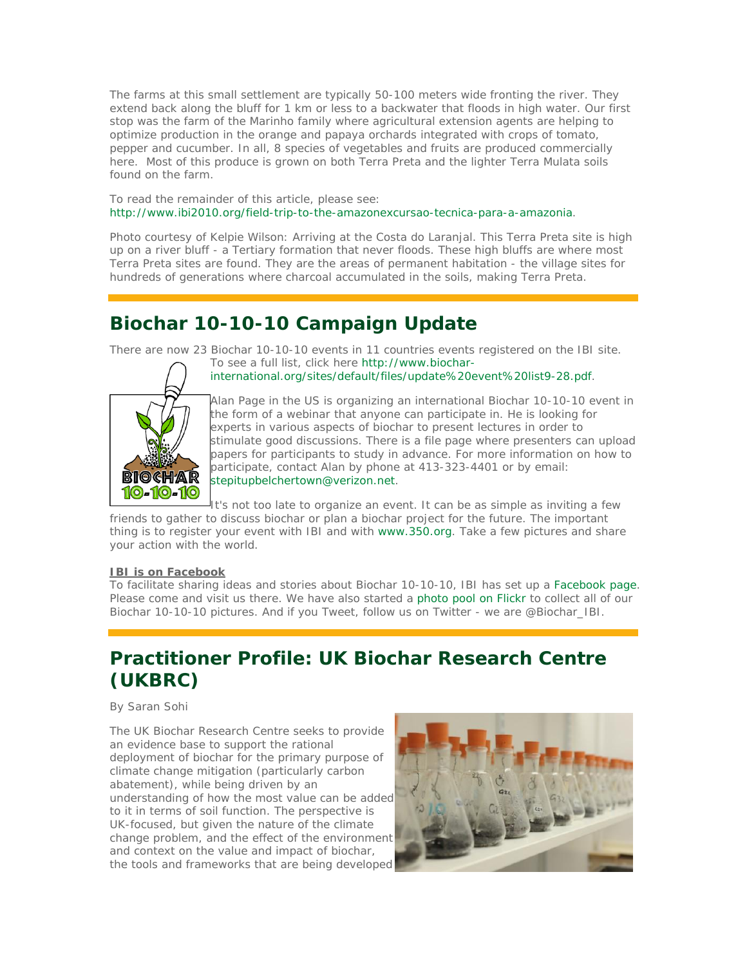The farms at this small settlement are typically 50-100 meters wide fronting the river. They extend back along the bluff for 1 km or less to a backwater that floods in high water. Our first stop was the farm of the Marinho family where agricultural extension agents are helping to optimize production in the orange and papaya orchards integrated with crops of tomato, pepper and cucumber. In all, 8 species of vegetables and fruits are produced commercially here. Most of this produce is grown on both Terra Preta and the lighter Terra Mulata soils found on the farm.

To read the remainder of this article, please see: http://www.ibi2010.org/field-trip-to-the-amazonexcursao-tecnica-para-a-amazonia.

*Photo courtesy of Kelpie Wilson*: Arriving at the Costa do Laranjal. This Terra Preta site is high up on a river bluff - a Tertiary formation that never floods. These high bluffs are where most Terra Preta sites are found. They are the areas of permanent habitation - the village sites for hundreds of generations where charcoal accumulated in the soils, making Terra Preta.

# **Biochar 10-10-10 Campaign Update**

There are now 23 Biochar 10-10-10 events in 11 countries events registered on the IBI site.





Alan Page in the US is organizing an international Biochar 10-10-10 event in the form of a webinar that anyone can participate in. He is looking for experts in various aspects of biochar to present lectures in order to stimulate good discussions. There is a file page where presenters can upload papers for participants to study in advance. For more information on how to participate, contact Alan by phone at 413-323-4401 or by email: stepitupbelchertown@verizon.net.

It's not too late to organize an event. It can be as simple as inviting a few friends to gather to discuss biochar or plan a biochar project for the future. The important thing is to register your event with IBI and with www.350.org. Take a few pictures and share your action with the world.

#### **IBI is on Facebook**

To facilitate sharing ideas and stories about Biochar 10-10-10, IBI has set up a Facebook page. Please come and visit us there. We have also started a photo pool on Flickr to collect all of our Biochar 10-10-10 pictures. And if you Tweet, follow us on Twitter - we are @Biochar\_IBI.

## **Practitioner Profile: UK Biochar Research Centre (UKBRC)**

By Saran Sohi

The UK Biochar Research Centre seeks to provide an evidence base to support the rational deployment of biochar for the primary purpose of climate change mitigation (particularly carbon abatement), while being driven by an understanding of how the most value can be added to it in terms of soil function. The perspective is UK-focused, but given the nature of the climate change problem, and the effect of the environment and context on the value and impact of biochar, the tools and frameworks that are being developed

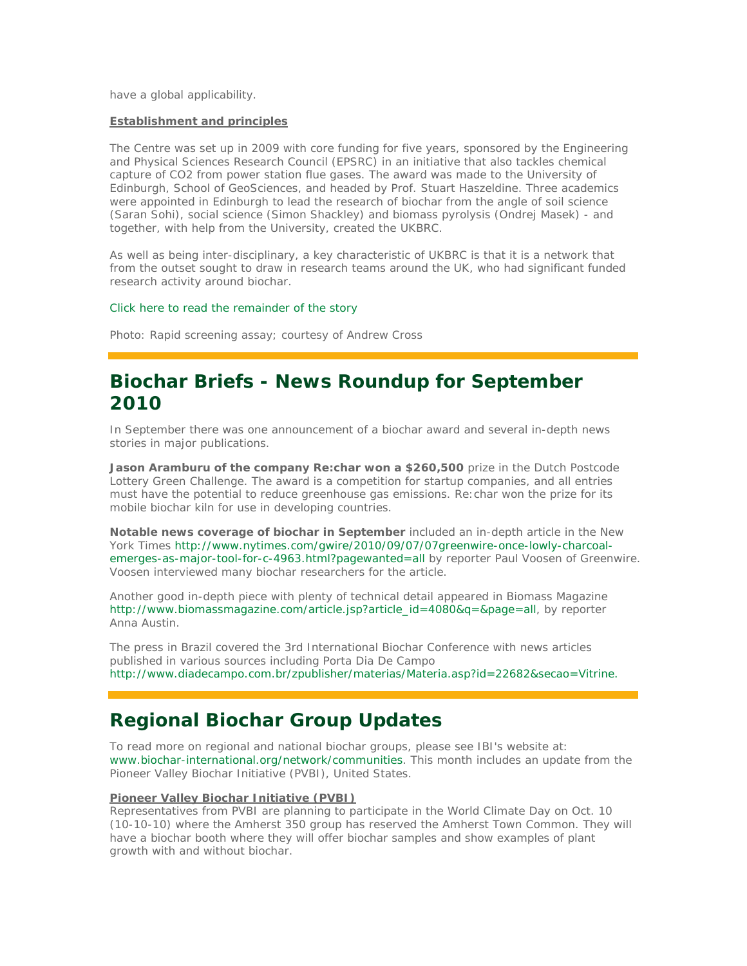have a global applicability.

#### **Establishment and principles**

The Centre was set up in 2009 with core funding for five years, sponsored by the Engineering and Physical Sciences Research Council (EPSRC) in an initiative that also tackles chemical capture of CO2 from power station flue gases. The award was made to the University of Edinburgh, School of GeoSciences, and headed by Prof. Stuart Haszeldine. Three academics were appointed in Edinburgh to lead the research of biochar from the angle of soil science (Saran Sohi), social science (Simon Shackley) and biomass pyrolysis (Ondrej Masek) - and together, with help from the University, created the UKBRC.

As well as being inter-disciplinary, a key characteristic of UKBRC is that it is a network that from the outset sought to draw in research teams around the UK, who had significant funded research activity around biochar.

#### Click here to read the remainder of the story

*Photo: Rapid screening assay; courtesy of Andrew Cross*

### **Biochar Briefs - News Roundup for September 2010**

In September there was one announcement of a biochar award and several in-depth news stories in major publications.

Jason Aramburu of the company Re:char won a \$260,500 prize in the Dutch Postcode Lottery Green Challenge. The award is a competition for startup companies, and all entries must have the potential to reduce greenhouse gas emissions. Re:char won the prize for its mobile biochar kiln for use in developing countries.

*Notable news coverage of biochar in September* included an in-depth article in the New York Times http://www.nytimes.com/gwire/2010/09/07/07greenwire-once-lowly-charcoalemerges-as-major-tool-for-c-4963.html?pagewanted=all by reporter Paul Voosen of Greenwire. Voosen interviewed many biochar researchers for the article.

Another good in-depth piece with plenty of technical detail appeared in Biomass Magazine http://www.biomassmagazine.com/article.jsp?article\_id=4080&q=&page=all, by reporter Anna Austin.

The press in Brazil covered the 3rd International Biochar Conference with news articles published in various sources including Porta Dia De Campo http://www.diadecampo.com.br/zpublisher/materias/Materia.asp?id=22682&secao=Vitrine.

## **Regional Biochar Group Updates**

To read more on regional and national biochar groups, please see IBI's website at: www.biochar-international.org/network/communities. This month includes an update from the Pioneer Valley Biochar Initiative (PVBI), United States.

#### **Pioneer Valley Biochar Initiative (PVBI)**

Representatives from PVBI are planning to participate in the World Climate Day on Oct. 10 (10-10-10) where the Amherst 350 group has reserved the Amherst Town Common. They will have a biochar booth where they will offer biochar samples and show examples of plant growth with and without biochar.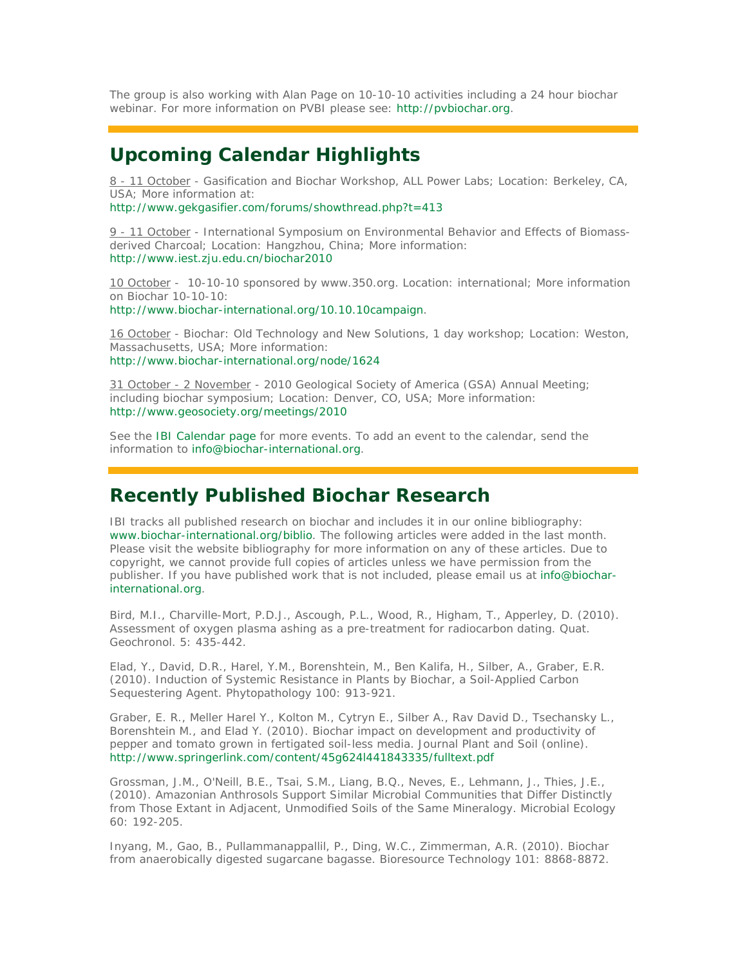The group is also working with Alan Page on 10-10-10 activities including a 24 hour biochar webinar. For more information on PVBI please see: http://pvbiochar.org.

## **Upcoming Calendar Highlights**

8 - 11 October - Gasification and Biochar Workshop, ALL Power Labs; Location: Berkeley, CA, USA; More information at:

http://www.gekgasifier.com/forums/showthread.php?t=413

9 - 11 October - International Symposium on Environmental Behavior and Effects of Biomassderived Charcoal; Location: Hangzhou, China; More information: http://www.iest.zju.edu.cn/biochar2010

10 October - 10-10-10 sponsored by www.350.org. Location: international; More information on Biochar 10-10-10:

http://www.biochar-international.org/10.10.10campaign.

16 October - Biochar: Old Technology and New Solutions, 1 day workshop; Location: Weston, Massachusetts, USA; More information: http://www.biochar-international.org/node/1624

31 October - 2 November - 2010 Geological Society of America (GSA) Annual Meeting; including biochar symposium; Location: Denver, CO, USA; More information: http://www.geosociety.org/meetings/2010

See the IBI Calendar page for more events. To add an event to the calendar, send the information to info@biochar-international.org.

### **Recently Published Biochar Research**

IBI tracks all published research on biochar and includes it in our online bibliography: www.biochar-international.org/biblio. The following articles were added in the last month. Please visit the website bibliography for more information on any of these articles. Due to copyright, we cannot provide full copies of articles unless we have permission from the publisher. If you have published work that is not included, please email us at info@biocharinternational.org.

Bird, M.I., Charville-Mort, P.D.J., Ascough, P.L., Wood, R., Higham, T., Apperley, D. (2010). Assessment of oxygen plasma ashing as a pre-treatment for radiocarbon dating. Quat. Geochronol. 5: 435-442.

Elad, Y., David, D.R., Harel, Y.M., Borenshtein, M., Ben Kalifa, H., Silber, A., Graber, E.R. (2010). Induction of Systemic Resistance in Plants by Biochar, a Soil-Applied Carbon Sequestering Agent. Phytopathology 100: 913-921.

Graber, E. R., Meller Harel Y., Kolton M., Cytryn E., Silber A., Rav David D., Tsechansky L., Borenshtein M., and Elad Y. (2010). Biochar impact on development and productivity of pepper and tomato grown in fertigated soil-less media. Journal Plant and Soil (online). http://www.springerlink.com/content/45g624l441843335/fulltext.pdf

Grossman, J.M., O'Neill, B.E., Tsai, S.M., Liang, B.Q., Neves, E., Lehmann, J., Thies, J.E., (2010). Amazonian Anthrosols Support Similar Microbial Communities that Differ Distinctly from Those Extant in Adjacent, Unmodified Soils of the Same Mineralogy. Microbial Ecology 60: 192-205.

Inyang, M., Gao, B., Pullammanappallil, P., Ding, W.C., Zimmerman, A.R. (2010). Biochar from anaerobically digested sugarcane bagasse. Bioresource Technology 101: 8868-8872.